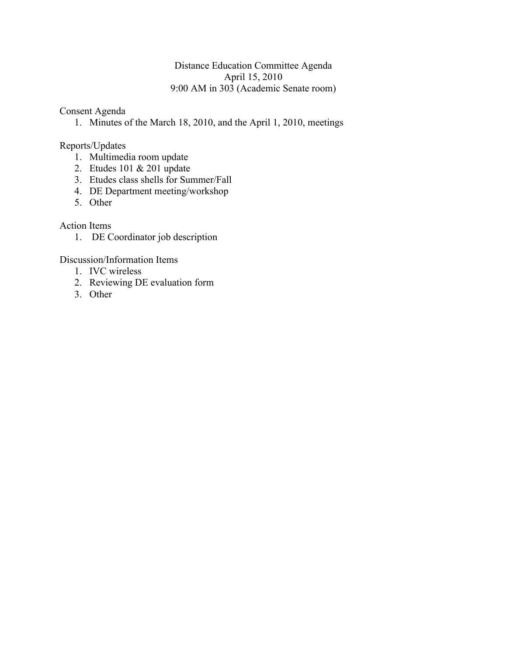### Distance Education Committee Agenda April 15, 2010 9:00 AM in 303 (Academic Senate room)

Consent Agenda

1. Minutes of the March 18, 2010, and the April 1, 2010, meetings

Reports/Updates

- 1. Multimedia room update
- 2. Etudes 101 & 201 update
- 3. Etudes class shells for Summer/Fall
- 4. DE Department meeting/workshop
- 5. Other

Action Items

1. DE Coordinator job description

Discussion/Information Items

- 1. IVC wireless
- 2. Reviewing DE evaluation form
- 3. Other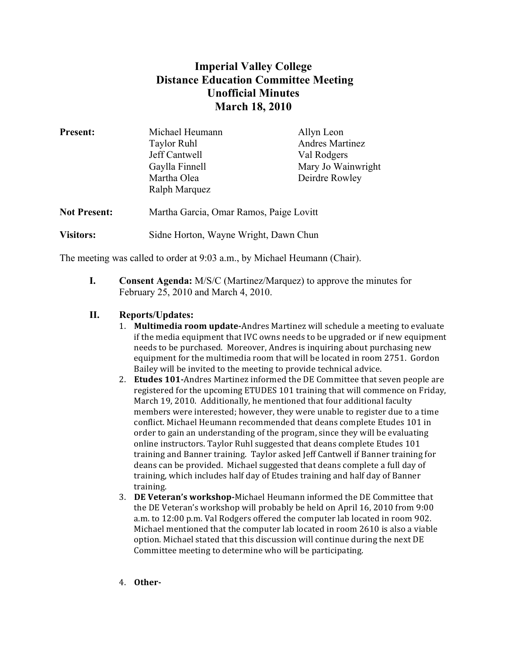# **Imperial Valley College Distance Education Committee Meeting Unofficial Minutes March 18, 2010**

| <b>Present:</b>     | Michael Heumann                         | Allyn Leon             |
|---------------------|-----------------------------------------|------------------------|
|                     | <b>Taylor Ruhl</b>                      | <b>Andres Martinez</b> |
|                     | Jeff Cantwell                           | Val Rodgers            |
|                     | Gaylla Finnell                          | Mary Jo Wainwright     |
|                     | Martha Olea                             | Deirdre Rowley         |
|                     | Ralph Marquez                           |                        |
| <b>Not Present:</b> | Martha Garcia, Omar Ramos, Paige Lovitt |                        |
| <b>Visitors:</b>    | Sidne Horton, Wayne Wright, Dawn Chun   |                        |

The meeting was called to order at 9:03 a.m., by Michael Heumann (Chair).

**I. Consent Agenda:** M/S/C (Martinez/Marquez) to approve the minutes for February 25, 2010 and March 4, 2010.

### **II. Reports/Updates:**

- 1. **Multimedia room update-**Andres Martinez will schedule a meeting to evaluate if the media equipment that IVC owns needs to be upgraded or if new equipment needs to be purchased. Moreover, Andres is inquiring about purchasing new equipment for the multimedia room that will be located in room 2751. Gordon Bailey will be invited to the meeting to provide technical advice.
- 2. **Etudes 101-**Andres Martinez informed the DE Committee that seven people are registered for the upcoming ETUDES 101 training that will commence on Friday, March 19, 2010. Additionally, he mentioned that four additional faculty members were interested; however, they were unable to register due to a time conflict. Michael Heumann recommended that deans complete Etudes 101 in order to gain an understanding of the program, since they will be evaluating online instructors. Taylor Ruhl suggested that deans complete Etudes 101 training and Banner training. Taylor asked Jeff Cantwell if Banner training for deans can be provided. Michael suggested that deans complete a full day of training, which includes half day of Etudes training and half day of Banner training.
- 3. **DE Veteran's workshop-**Michael Heumann informed the DE Committee that the DE Veteran's workshop will probably be held on April 16, 2010 from 9:00 a.m. to 12:00 p.m. Val Rodgers offered the computer lab located in room 902. Michael mentioned that the computer lab located in room 2610 is also a viable option. Michael stated that this discussion will continue during the next DE Committee meeting to determine who will be participating.
- 4. **Other.**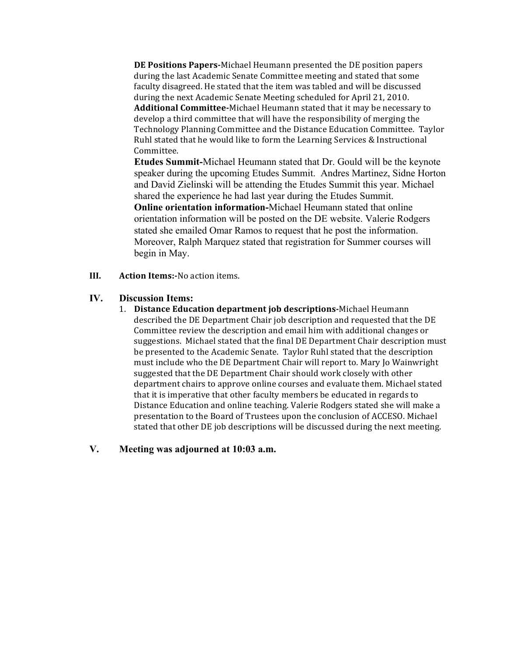**DE Positions Papers-Michael Heumann presented the DE position papers** during the last Academic Senate Committee meeting and stated that some faculty disagreed. He stated that the item was tabled and will be discussed during the next Academic Senate Meeting scheduled for April 21, 2010. Additional Committee-Michael Heumann stated that it may be necessary to develop a third committee that will have the responsibility of merging the Technology Planning Committee and the Distance Education Committee. Taylor Ruhl stated that he would like to form the Learning Services  $&$  Instructional Committee.

**Etudes Summit-**Michael Heumann stated that Dr. Gould will be the keynote speaker during the upcoming Etudes Summit. Andres Martinez, Sidne Horton and David Zielinski will be attending the Etudes Summit this year. Michael shared the experience he had last year during the Etudes Summit. **Online orientation information-**Michael Heumann stated that online orientation information will be posted on the DE website. Valerie Rodgers stated she emailed Omar Ramos to request that he post the information. Moreover, Ralph Marquez stated that registration for Summer courses will begin in May.

**III. Action Items:**. No action items.

#### **IV. Discussion Items:**

1. **Distance Education department job descriptions-Michael Heumann** described the DE Department Chair job description and requested that the DE Committee review the description and email him with additional changes or suggestions. Michael stated that the final DE Department Chair description must be presented to the Academic Senate. Taylor Ruhl stated that the description must include who the DE Department Chair will report to. Mary Jo Wainwright suggested that the DE Department Chair should work closely with other department chairs to approve online courses and evaluate them. Michael stated that it is imperative that other faculty members be educated in regards to Distance Education and online teaching. Valerie Rodgers stated she will make a presentation to the Board of Trustees upon the conclusion of ACCESO. Michael stated that other DE job descriptions will be discussed during the next meeting.

### **V. Meeting was adjourned at 10:03 a.m.**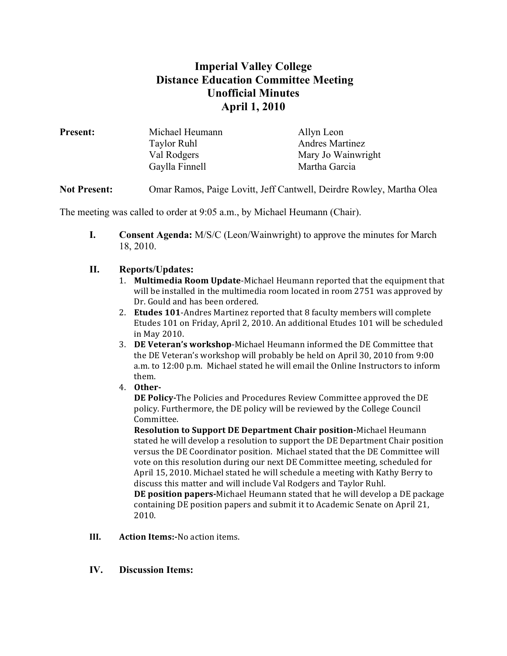# **Imperial Valley College Distance Education Committee Meeting Unofficial Minutes April 1, 2010**

| <b>Present:</b> | Michael Heumann    | Allyn Leon             |
|-----------------|--------------------|------------------------|
|                 | <b>Taylor Ruhl</b> | <b>Andres Martinez</b> |
|                 | Val Rodgers        | Mary Jo Wainwright     |
|                 | Gaylla Finnell     | Martha Garcia          |
|                 |                    |                        |

**Not Present:** Omar Ramos, Paige Lovitt, Jeff Cantwell, Deirdre Rowley, Martha Olea

The meeting was called to order at 9:05 a.m., by Michael Heumann (Chair).

**I. Consent Agenda:** M/S/C (Leon/Wainwright) to approve the minutes for March 18, 2010.

### **II. Reports/Updates:**

- 1. **Multimedia Room Update**-Michael Heumann reported that the equipment that will be installed in the multimedia room located in room 2751 was approved by Dr. Gould and has been ordered.
- 2. **Etudes 101**-Andres Martinez reported that 8 faculty members will complete Etudes 101 on Friday, April 2, 2010. An additional Etudes 101 will be scheduled in May 2010.
- 3. **DE Veteran's workshop**-Michael Heumann informed the DE Committee that the DE Veteran's workshop will probably be held on April 30, 2010 from 9:00 a.m. to 12:00 p.m. Michael stated he will email the Online Instructors to inform them.)
- 4. **Other.**

**DE Policy-The Policies and Procedures Review Committee approved the DE** policy. Furthermore, the DE policy will be reviewed by the College Council Committee.

**Resolution to Support DE Department Chair position-Michael Heumann** stated he will develop a resolution to support the DE Department Chair position versus the DE Coordinator position. Michael stated that the DE Committee will vote on this resolution during our next DE Committee meeting, scheduled for April 15, 2010. Michael stated he will schedule a meeting with Kathy Berry to discuss this matter and will include Val Rodgers and Taylor Ruhl. **DE position papers-Michael Heumann stated that he will develop a DE package** containing DE position papers and submit it to Academic Senate on April 21, 2010.

- **III. Action Items:**. No action items.
- **IV. Discussion Items:**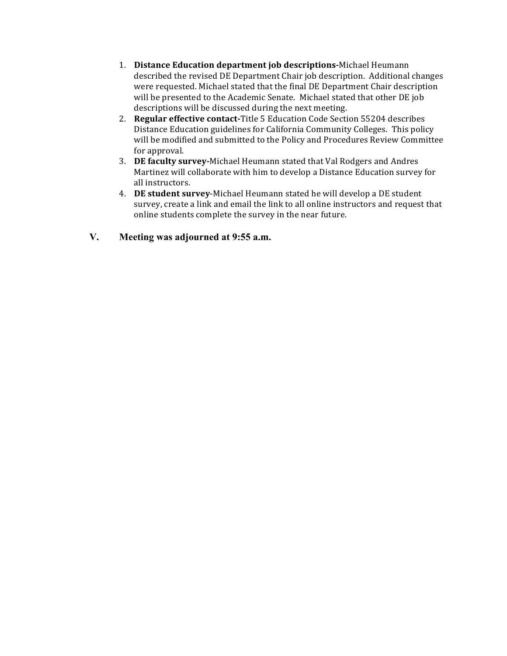- 1. **Distance Education department job descriptions**-Michael Heumann described the revised DE Department Chair job description. Additional changes were requested. Michael stated that the final DE Department Chair description will be presented to the Academic Senate. Michael stated that other DE job descriptions will be discussed during the next meeting.
- 2. **Regular effective contact-Title** 5 Education Code Section 55204 describes Distance Education guidelines for California Community Colleges. This policy will be modified and submitted to the Policy and Procedures Review Committee for approval.
- 3. **DE faculty survey-**Michael Heumann stated that Val Rodgers and Andres Martinez will collaborate with him to develop a Distance Education survey for all instructors.
- 4. **DE student survey**-Michael Heumann stated he will develop a DE student survey, create a link and email the link to all online instructors and request that online students complete the survey in the near future.
- **V. Meeting was adjourned at 9:55 a.m.**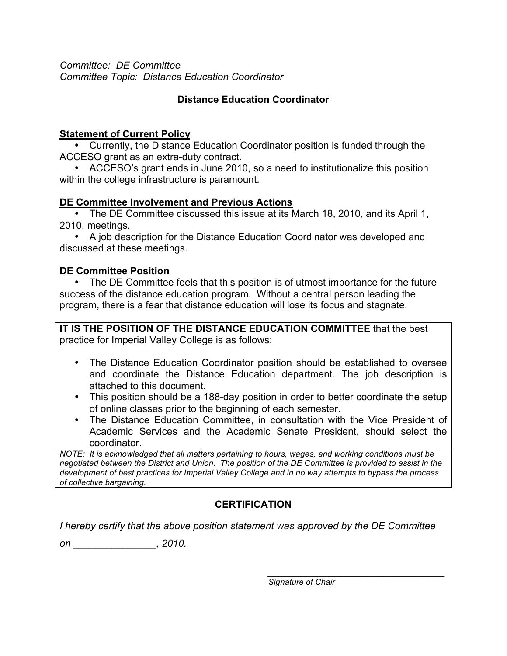*Committee: DE Committee Committee Topic: Distance Education Coordinator*

## **Distance Education Coordinator**

### **Statement of Current Policy**

• Currently, the Distance Education Coordinator position is funded through the ACCESO grant as an extra-duty contract.

• ACCESO's grant ends in June 2010, so a need to institutionalize this position within the college infrastructure is paramount.

### **DE Committee Involvement and Previous Actions**

• The DE Committee discussed this issue at its March 18, 2010, and its April 1, 2010, meetings.

• A job description for the Distance Education Coordinator was developed and discussed at these meetings.

## **DE Committee Position**

• The DE Committee feels that this position is of utmost importance for the future success of the distance education program. Without a central person leading the program, there is a fear that distance education will lose its focus and stagnate.

**IT IS THE POSITION OF THE DISTANCE EDUCATION COMMITTEE** that the best practice for Imperial Valley College is as follows:

- The Distance Education Coordinator position should be established to oversee and coordinate the Distance Education department. The job description is attached to this document.
- This position should be a 188-day position in order to better coordinate the setup of online classes prior to the beginning of each semester.
- The Distance Education Committee, in consultation with the Vice President of Academic Services and the Academic Senate President, should select the coordinator.

*NOTE: It is acknowledged that all matters pertaining to hours, wages, and working conditions must be negotiated between the District and Union. The position of the DE Committee is provided to assist in the development of best practices for Imperial Valley College and in no way attempts to bypass the process of collective bargaining.* 

# **CERTIFICATION**

*I hereby certify that the above position statement was approved by the DE Committee* 

*on \_\_\_\_\_\_\_\_\_\_\_\_\_\_\_, 2010.* 

*\_\_\_\_\_\_\_\_\_\_\_\_\_\_\_\_\_\_\_\_\_\_\_\_\_\_\_\_\_\_\_\_ Signature of Chair*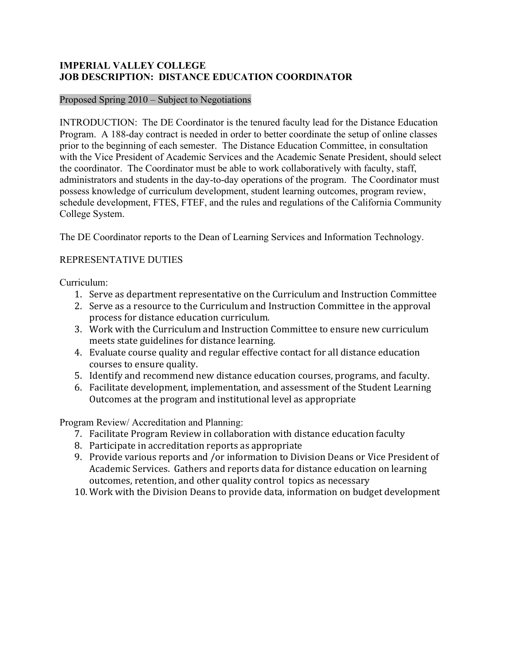### **IMPERIAL VALLEY COLLEGE JOB DESCRIPTION: DISTANCE EDUCATION COORDINATOR**

#### Proposed Spring 2010 – Subject to Negotiations

INTRODUCTION: The DE Coordinator is the tenured faculty lead for the Distance Education Program. A 188-day contract is needed in order to better coordinate the setup of online classes prior to the beginning of each semester. The Distance Education Committee, in consultation with the Vice President of Academic Services and the Academic Senate President, should select the coordinator. The Coordinator must be able to work collaboratively with faculty, staff, administrators and students in the day-to-day operations of the program. The Coordinator must possess knowledge of curriculum development, student learning outcomes, program review, schedule development, FTES, FTEF, and the rules and regulations of the California Community College System.

The DE Coordinator reports to the Dean of Learning Services and Information Technology.

### REPRESENTATIVE DUTIES

Curriculum:

- 1. Serve as department representative on the Curriculum and Instruction Committee
- 2. Serve as a resource to the Curriculum and Instruction Committee in the approval process for distance education curriculum.
- 3. Work with the Curriculum and Instruction Committee to ensure new curriculum meets state guidelines for distance learning.
- 4. Evaluate course quality and regular effective contact for all distance education courses to ensure quality.
- 5. Identify and recommend new distance education courses, programs, and faculty.
- 6. Facilitate development, implementation, and assessment of the Student Learning Outcomes at the program and institutional level as appropriate

Program Review/ Accreditation and Planning:

- 7. Facilitate Program Review in collaboration with distance education faculty
- 8. Participate in accreditation reports as appropriate
- 9. Provide various reports and /or information to Division Deans or Vice President of Academic Services. Gathers and reports data for distance education on learning outcomes, retention, and other quality control topics as necessary
- 10. Work with the Division Deans to provide data, information on budget development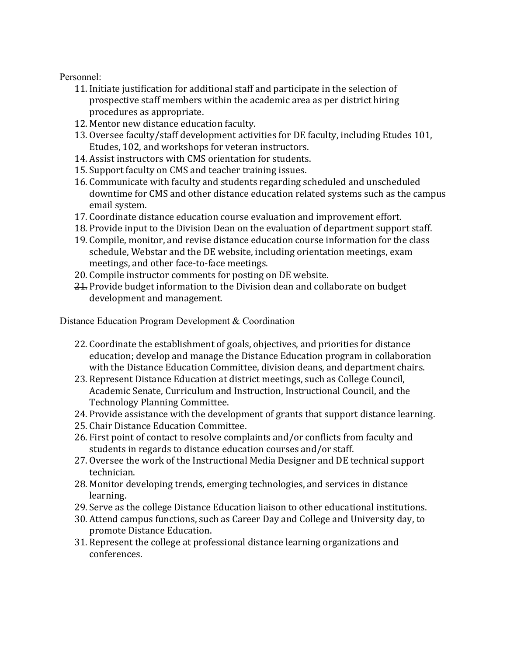Personnel:

- 11. Initiate justification for additional staff and participate in the selection of prospective staff members within the academic area as per district hiring procedures as appropriate.
- 12. Mentor new distance education faculty.
- 13. Oversee faculty/staff development activities for DE faculty, including Etudes 101, Etudes, 102, and workshops for veteran instructors.
- 14. Assist instructors with CMS orientation for students.
- 15. Support faculty on CMS and teacher training issues.
- 16. Communicate with faculty and students regarding scheduled and unscheduled downtime for CMS and other distance education related systems such as the campus email system.
- 17. Coordinate distance education course evaluation and improvement effort.
- 18. Provide input to the Division Dean on the evaluation of department support staff.
- 19. Compile, monitor, and revise distance education course information for the class schedule, Webstar and the DE website, including orientation meetings, exam meetings, and other face-to-face meetings.
- 20. Compile instructor comments for posting on DE website.
- 21. Provide budget information to the Division dean and collaborate on budget development and management.

Distance Education Program Development & Coordination

- 22. Coordinate the establishment of goals, objectives, and priorities for distance education; develop and manage the Distance Education program in collaboration with the Distance Education Committee, division deans, and department chairs.
- 23. Represent Distance Education at district meetings, such as College Council, Academic Senate, Curriculum and Instruction, Instructional Council, and the Technology Planning Committee.
- 24. Provide assistance with the development of grants that support distance learning.
- 25. Chair Distance Education Committee.
- 26. First point of contact to resolve complaints and/or conflicts from faculty and students in regards to distance education courses and/or staff.
- 27. Oversee the work of the Instructional Media Designer and DE technical support technician.
- 28. Monitor developing trends, emerging technologies, and services in distance learning.
- 29. Serve as the college Distance Education liaison to other educational institutions.
- 30. Attend campus functions, such as Career Day and College and University day, to promote Distance Education.
- 31. Represent the college at professional distance learning organizations and conferences.